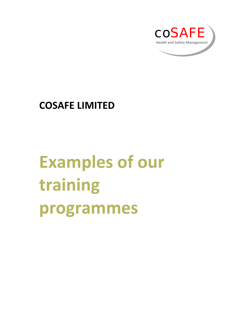

# **COSAFE LIMITED**

# **Examples of our training programmes**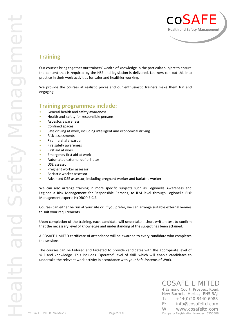

## **Training**

Our courses bring together our trainers' wealth of knowledge in the particular subject to ensure the content that is required by the HSE and legislation is delivered. Learners can put this into practice in their work activities for safer and healthier working.

We provide the courses at realistic prices and our enthusiastic trainers make them fun and engaging.

### **Training programmes include:**

- General health and safety awareness
- Health and safety for responsible persons
- Asbestos awareness
- Confined spaces
- Safe driving at work, including intelligent and economical driving
- Risk assessments
- Fire marshal / warden
- Fire safety awareness
- First aid at work
- Emergency first aid at work
- Automated external defibrillator
- DSE assessor
- Pregnant worker assessor
- Bariatric worker assessor
- Advanced DSE assessor, including pregnant worker and bariatric worker

We can also arrange training in more specific subjects such as Legionella Awareness and Legionella Risk Management for Responsible Persons, to ILM level through Legionella Risk Management experts HYDROP E.C.S.

Courses can either be run at your site or, if you prefer, we can arrange suitable external venues to suit your requirements.

Upon completion of the training, each candidate will undertake a short written test to confirm that the necessary level of knowledge and understanding of the subject has been attained.

A COSAFE LIMITED certificate of attendance will be awarded to every candidate who completes the sessions.

The courses can be tailored and targeted to provide candidates with the appropriate level of skill and knowledge. This includes 'Operator' level of skill, which will enable candidates to undertake the relevant work activity in accordance with your Safe Systems of Work.

# COSAFE LIMITED

4 Esmond Court, Prospect Road, New Barnet, Herts., EN5 5AJ  $T: +44(0)2084406088$ E: info@cosafeltd.com W: www.cosafeltd.com Company Registration Number: 6350588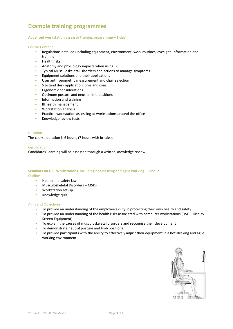# **Example training programmes**

#### **Advanced workstation assessor training programme – 1-day**

#### Course Content

- Regulations detailed (including equipment, environment, work routines, eyesight, information and training)
- Health risks
- Anatomy and physiology impacts when using DSE
- Typical Musculoskeletal Disorders and actions to manage symptoms
- Equipment solutions and their applications
- User anthropometric measurement and chair selection
- Sit-stand desk application, pros and cons
- Ergonomic considerations
- Optimum posture and neutral limb positions
- Information and training
- Ill health management
- Workstation analysis
- Practical workstation assessing at workstations around the office
- Knowledge review tests

#### Duration

The course duration is 6 hours, (7 hours with breaks).

#### Certification

Candidates' learning will be assessed through a written knowledge review.

#### **Seminars on DSE Workstations, including hot-desking and agile working – 1-hour Outline**

- Health and safety law
- Musculoskeletal Disorders MSDs
- Workstation set-up
- Knowledge quiz

#### Aims and Objectives

- To provide an understanding of the employee's duty in protecting their own health and safety
- To provide an understanding of the health risks associated with computer workstations (DSE Display Screen Equipment)
- To explain the causes of musculoskeletal disorders and recognise their development
- To demonstrate neutral posture and limb positions
- To provide participants with the ability to effectively adjust their equipment in a hot-desking and agile working environment

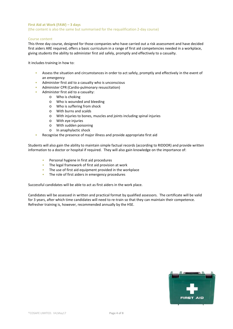#### **First Aid at Work (FAW) – 3 days** (the content is also the same but summarised for the requalification 2-day course)

#### Course content

This three day course, designed for those companies who have carried out a risk assessment and have decided first aiders ARE required, offers a basic curriculum in a range of first aid competencies needed in a workplace, giving students the ability to administer first aid safely, promptly and effectively to a casualty.

It includes training in how to:

- Assess the situation and circumstances in order to act safely, promptly and effectively in the event of an emergency
- Administer first aid to a casualty who is unconscious
- Administer CPR (Cardio-pulmonary resuscitation)
- Administer first aid to a casualty:
	- o Who is choking
	- o Who is wounded and bleeding
	- o Who is suffering from shock
	- o With burns and scalds
	- o With injuries to bones, muscles and joints including spinal injuries
	- o With eye injuries
	- o With sudden poisoning
	- o In anaphylactic shock
- Recognise the presence of major illness and provide appropriate first aid

Students will also gain the ability to maintain simple factual records (according to RIDDOR) and provide written information to a doctor or hospital if required. They will also gain knowledge on the importance of:

- Personal hygiene in first aid procedures
- The legal framework of first aid provision at work
- The use of first aid equipment provided in the workplace
- The role of first aiders in emergency procedures

Successful candidates will be able to act as first aiders in the work place.

Candidates will be assessed in written and practical format by qualified assessors. The certificate will be valid for 3 years, after which time candidates will need to re-train so that they can maintain their competence. Refresher training is, however, recommended annually by the HSE.

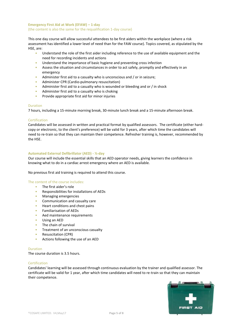#### **Emergency First Aid at Work (EFAW) – 1-day** (the content is also the same for the requalification 1-day course)

This one day course will allow successful attendees to be first aiders within the workplace (where a risk assessment has identified a lower level of need than for the FAW course). Topics covered, as stipulated by the HSE, are:

- Understand the role of the first aider including reference to the use of available equipment and the need for recording incidents and actions
- Understand the importance of basic hygiene and preventing cross infection
- Assess the situation and circumstances in order to act safely, promptly and effectively in an emergency
- Administer first aid to a casualty who is unconscious and / or in seizure;
- Administer CPR (Cardio-pulmonary resuscitation)
- Administer first aid to a casualty who is wounded or bleeding and or / in shock
- Administer first aid to a casualty who is choking
- Provide appropriate first aid for minor injuries

#### Duration

7 hours, including a 15-minute morning break, 30-minute lunch break and a 15-minute afternoon break.

#### Certification

Candidates will be assessed in written and practical format by qualified assessors. The certificate (either hard copy or electronic, to the client's preference) will be valid for 3 years, after which time the candidates will need to re-train so that they can maintain their competence. Refresher training is, however, recommended by the HSE.

#### **Automated External Defibrillator (AED) - ½-day**

Our course will include the essential skills that an AED operator needs, giving learners the confidence in knowing what to do in a cardiac arrest emergency where an AED is available.

No previous first aid training is required to attend this course.

#### The content of the course includes:

- The first aider's role
- Responsibilities for installations of AEDs
- Managing emergencies
- Communication and casualty care
- Heart conditions and chest pains
- Familiarisation of AEDs
- Aed maintenance requirements
- Using an AED
- The chain of survival
- Treatment of an unconscious casualty
- Resuscitation (CPR)
- Actions following the use of an AED

#### Duration

The course duration is 3.5 hours.

#### Certification

Candidates' learning will be assessed through continuous evaluation by the trainer and qualified assessor. The certificate will be valid for 1 year, after which time candidates will need to re-train so that they can maintain their competence.

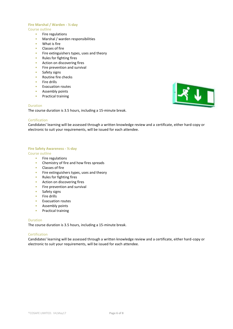#### **Fire Marshal / Warden - ½-day**

#### Course outline

- Fire regulations
- Marshal / warden responsibilities
- What is fire
- Classes of fire
- Fire extinguishers types, uses and theory
- Rules for fighting fires
- Action on discovering fires
- Fire prevention and survival
- Safety signs
- Routine fire checks
- Fire drills
- Evacuation routes
- Assembly points
- Practical training

#### Duration

The course duration is 3.5 hours, including a 15-minute break.

#### Certification

Candidates' learning will be assessed through a written knowledge review and a certificate, either hard-copy or electronic to suit your requirements, will be issued for each attendee.

#### **Fire Safety Awareness - ½-day**

#### Course outline

- Fire regulations
- Chemistry of fire and how fires spreads
- Classes of fire
- Fire extinguishers types, uses and theory
- Rules for fighting fires
- Action on discovering fires
- Fire prevention and survival
- Safety signs
- Fire drills
- Evacuation routes
- Assembly points
- Practical training

#### Duration

The course duration is 3.5 hours, including a 15-minute break.

#### Certification

Candidates' learning will be assessed through a written knowledge review and a certificate, either hard-copy or electronic to suit your requirements, will be issued for each attendee.

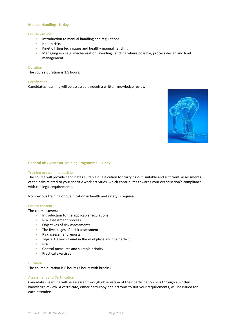#### **Manual Handling - ½-day**

#### Course outline

- Introduction to manual handling and regulations
- Health risks
- Kinetic lifting techniques and healthy manual handling
- Managing risk (e.g. mechanisation, avoiding handling where possible, process design and load management)

#### Duration

The course duration is 3.5 hours.

#### Certification

Candidates' learning will be assessed through a written knowledge review.



#### **General Risk Assessor Training Programme – 1-day**

#### Training programme outline

The course will provide candidates suitable qualification for carrying out 'suitable and sufficient' assessments of the risks related to your specific work activities, which contributes towards your organisation's compliance with the legal requirements.

No previous training or qualification in health and safety is required.

#### Course content

The course covers:

- Introduction to the applicable regulations
- Risk assessment process
- Objectives of risk assessments
- The five stages of a risk assessment
- Risk assessment reports
- Typical Hazards found in the workplace and their affect
- Risk
- Control measures and suitable priority
- Practical exercises

#### Duration

The course duration is 6 hours (7 hours with breaks).

#### Assessment and Certification

Candidates' learning will be assessed through observation of their participation plus through a written knowledge review. A certificate, either hard-copy or electronic to suit your requirements, will be issued for each attendee.